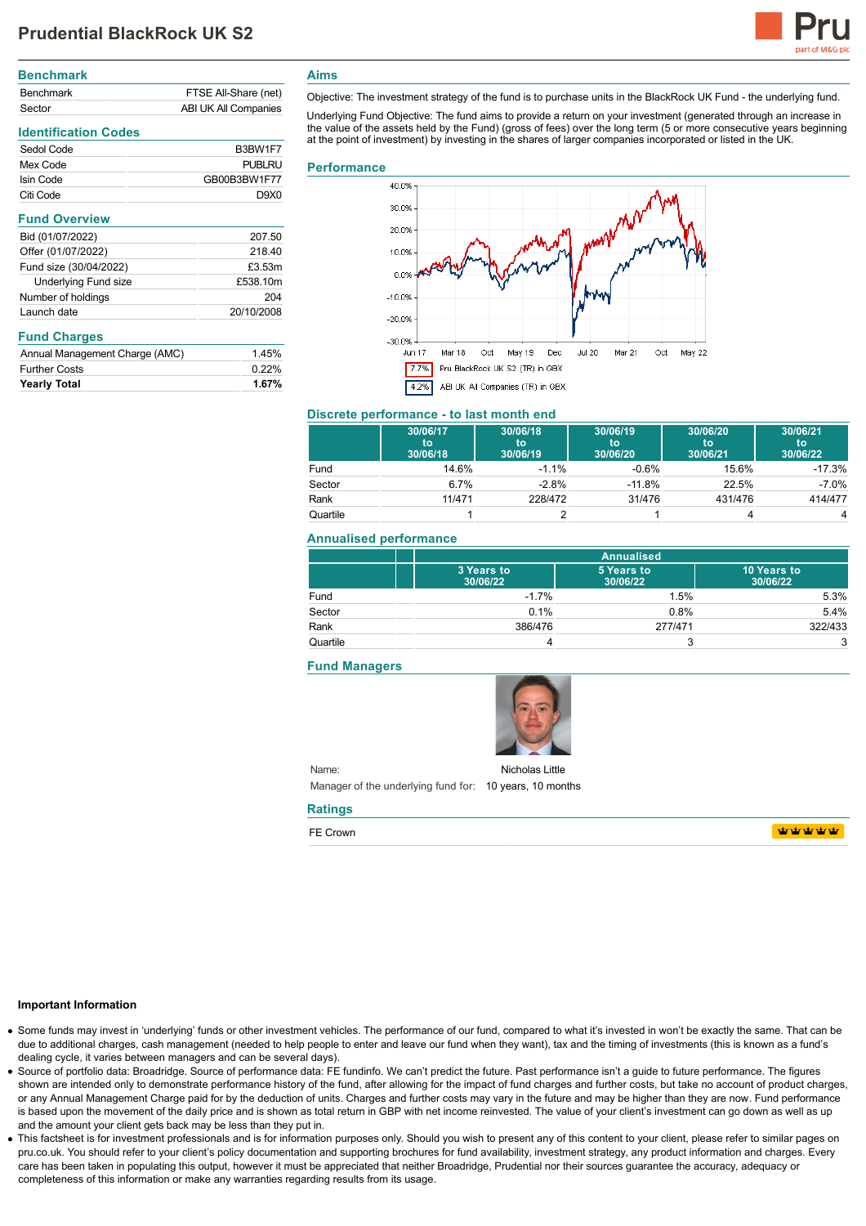

# **Benchmark** Benchmark FTSE All-Share (net) Sector **ABI UK All Companies**

## **Identification Codes**

| Sedol Code | B3BW1F7                       |
|------------|-------------------------------|
| Mex Code   | <b>PUBLRU</b>                 |
| Isin Code  | GB00B3BW1F77                  |
| Citi Code  | D <sub>9</sub> X <sub>0</sub> |

| <b>Fully Overview</b>  |            |
|------------------------|------------|
| Bid (01/07/2022)       | 207.50     |
| Offer (01/07/2022)     | 218.40     |
| Fund size (30/04/2022) | £3.53m     |
| Underlying Fund size   | £538.10m   |
| Number of holdings     | 204        |
| Launch date            | 20/10/2008 |
|                        |            |

## **Fund Charges**

| Annual Management Charge (AMC) | 1.45% |
|--------------------------------|-------|
| <b>Further Costs</b>           | 0.22% |

**Aims**

Objective: The investment strategy of the fund is to purchase units in the BlackRock UK Fund - the underlying fund.

Underlying Fund Objective: The fund aims to provide a return on your investment (generated through an increase in the value of the assets held by the Fund) (gross of fees) over the long term (5 or more consecutive years beginning at the point of investment) by investing in the shares of larger companies incorporated or listed in the UK.

### **Performance**



## **Discrete performance - to last month end**

|          | 30/06/17<br>to<br>30/06/18 | 30/06/18<br>to<br>30/06/19 | 30/06/19<br>to<br>30/06/20 | 30/06/20<br>to<br>30/06/21 | 30/06/21<br>to<br>30/06/22 |
|----------|----------------------------|----------------------------|----------------------------|----------------------------|----------------------------|
| Fund     | 14.6%                      | $-1.1%$                    | $-0.6%$                    | 15.6%                      | $-17.3%$                   |
| Sector   | 6.7%                       | $-2.8%$                    | $-11.8%$                   | 22.5%                      | $-7.0%$                    |
| Rank     | 11/471                     | 228/472                    | 31/476                     | 431/476                    | 414/477                    |
| Quartile |                            |                            |                            |                            | 4                          |

### **Annualised performance**

|          | <b>Annualised</b>      |                        |                         |
|----------|------------------------|------------------------|-------------------------|
|          | 3 Years to<br>30/06/22 | 5 Years to<br>30/06/22 | 10 Years to<br>30/06/22 |
| Fund     | $-1.7%$                | 1.5%                   | 5.3%                    |
| Sector   | 0.1%                   | 0.8%                   | 5.4%                    |
| Rank     | 386/476                | 277/471                | 322/433                 |
| Quartile |                        | w                      | 3                       |

#### **Fund Managers**



Name: Manager of the underlying fund for: 10 years, 10 months Nicholas Little

### **Ratings**

FE Crown

**WWWWW** 

#### **Important Information**

- Some funds may invest in 'underlying' funds or other investment vehicles. The performance of our fund, compared to what it's invested in won't be exactly the same. That can be due to additional charges, cash management (needed to help people to enter and leave our fund when they want), tax and the timing of investments (this is known as a fund's dealing cycle, it varies between managers and can be several days).
- Source of portfolio data: Broadridge. Source of performance data: FE fundinfo. We can't predict the future. Past performance isn't a guide to future performance. The figures shown are intended only to demonstrate performance history of the fund, after allowing for the impact of fund charges and further costs, but take no account of product charges, or any Annual Management Charge paid for by the deduction of units. Charges and further costs may vary in the future and may be higher than they are now. Fund performance is based upon the movement of the daily price and is shown as total return in GBP with net income reinvested. The value of your client's investment can go down as well as up and the amount your client gets back may be less than they put in.
- This factsheet is for investment professionals and is for information purposes only. Should you wish to present any of this content to your client, please refer to similar pages on pru.co.uk. You should refer to your client's policy documentation and supporting brochures for fund availability, investment strategy, any product information and charges. Every care has been taken in populating this output, however it must be appreciated that neither Broadridge. Prudential nor their sources guarantee the accuracy, adequacy or completeness of this information or make any warranties regarding results from its usage.